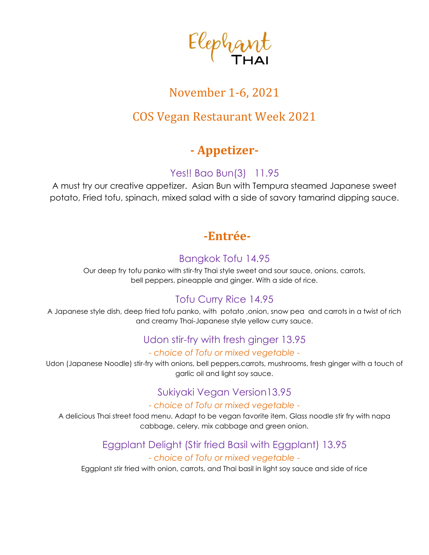

# November 1-6, 2021

## COS Vegan Restaurant Week 2021

## **- Appetizer-**

#### Yes!! Bao Bun(3) 11.95

A must try our creative appetizer. Asian Bun with Tempura steamed Japanese sweet potato, Fried tofu, spinach, mixed salad with a side of savory tamarind dipping sauce.

## **-Entrée-**

### Bangkok Tofu 14.95

Our deep fry tofu panko with stir-fry Thai style sweet and sour sauce, onions, carrots, bell peppers, pineapple and ginger. With a side of rice.

## Tofu Curry Rice 14.95

A Japanese style dish, deep fried tofu panko, with potato ,onion, snow pea and carrots in a twist of rich and creamy Thai-Japanese style yellow curry sauce.

## Udon stir-fry with fresh ginger 13.95

#### *- choice of Tofu or mixed vegetable -*

Udon (Japanese Noodle) stir-fry with onions, bell peppers,carrots, mushrooms, fresh ginger with a touch of garlic oil and light soy sauce.

### Sukiyaki Vegan Version13.95

#### *- choice of Tofu or mixed vegetable -*

A delicious Thai street food menu. Adapt to be vegan favorite item. Glass noodle stir fry with napa cabbage, celery, mix cabbage and green onion.

#### Eggplant Delight (Stir fried Basil with Eggplant) 13.95 *- choice of Tofu or mixed vegetable -*

Eggplant stir fried with onion, carrots, and Thai basil in light soy sauce and side of rice